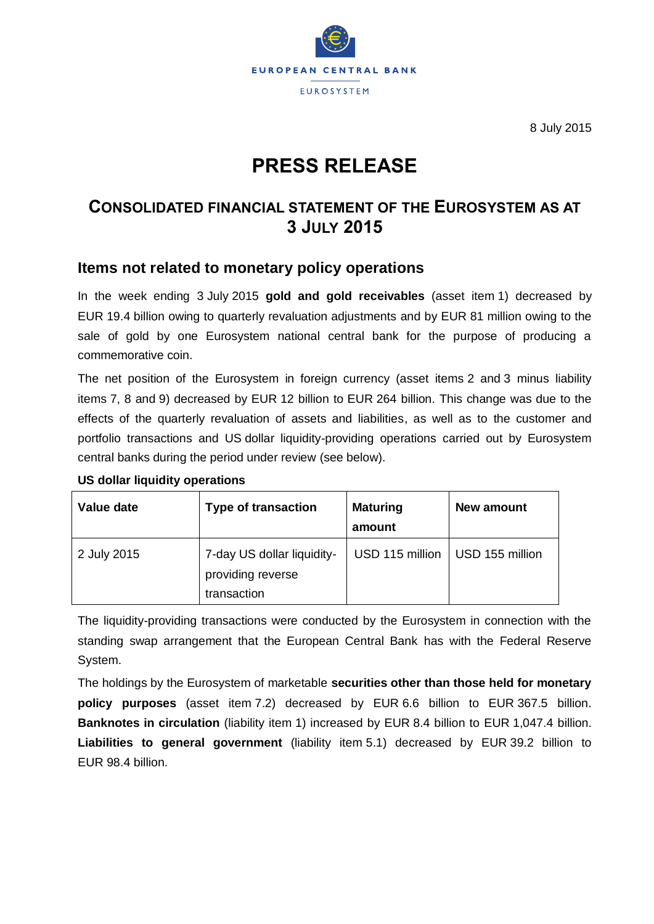

8 July 2015

# **PRESS RELEASE**

## **CONSOLIDATED FINANCIAL STATEMENT OF THE EUROSYSTEM AS AT 3 JULY 2015**

#### **Items not related to monetary policy operations**

In the week ending 3 July 2015 **gold and gold receivables** (asset item 1) decreased by EUR 19.4 billion owing to quarterly revaluation adjustments and by EUR 81 million owing to the sale of gold by one Eurosystem national central bank for the purpose of producing a commemorative coin.

The net position of the Eurosystem in foreign currency (asset items 2 and 3 minus liability items 7, 8 and 9) decreased by EUR 12 billion to EUR 264 billion. This change was due to the effects of the quarterly revaluation of assets and liabilities, as well as to the customer and portfolio transactions and US dollar liquidity-providing operations carried out by Eurosystem central banks during the period under review (see below).

| Value date  | <b>Type of transaction</b>                                     | <b>Maturing</b><br>amount | New amount      |
|-------------|----------------------------------------------------------------|---------------------------|-----------------|
| 2 July 2015 | 7-day US dollar liquidity-<br>providing reverse<br>transaction | USD 115 million           | USD 155 million |

#### **US dollar liquidity operations**

The liquidity-providing transactions were conducted by the Eurosystem in connection with the standing swap arrangement that the European Central Bank has with the Federal Reserve System.

The holdings by the Eurosystem of marketable **securities other than those held for monetary policy purposes** (asset item 7.2) decreased by EUR 6.6 billion to EUR 367.5 billion. **Banknotes in circulation** (liability item 1) increased by EUR 8.4 billion to EUR 1,047.4 billion. **Liabilities to general government** (liability item 5.1) decreased by EUR 39.2 billion to EUR 98.4 billion.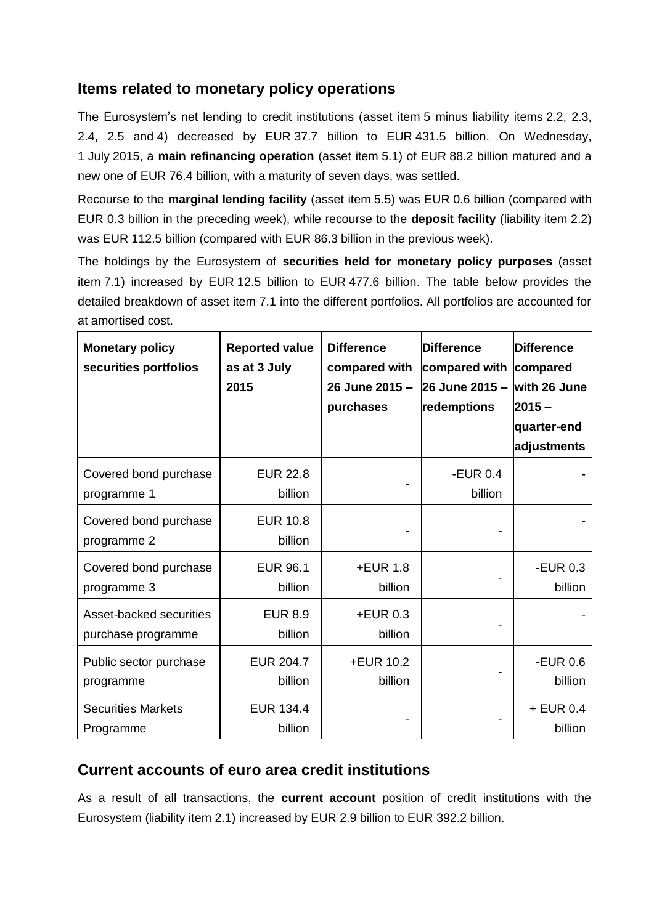#### **Items related to monetary policy operations**

The Eurosystem's net lending to credit institutions (asset item 5 minus liability items 2.2, 2.3, 2.4, 2.5 and 4) decreased by EUR 37.7 billion to EUR 431.5 billion. On Wednesday, 1 July 2015, a **main refinancing operation** (asset item 5.1) of EUR 88.2 billion matured and a new one of EUR 76.4 billion, with a maturity of seven days, was settled.

Recourse to the **marginal lending facility** (asset item 5.5) was EUR 0.6 billion (compared with EUR 0.3 billion in the preceding week), while recourse to the **deposit facility** (liability item 2.2) was EUR 112.5 billion (compared with EUR 86.3 billion in the previous week).

The holdings by the Eurosystem of **securities held for monetary policy purposes** (asset item 7.1) increased by EUR 12.5 billion to EUR 477.6 billion. The table below provides the detailed breakdown of asset item 7.1 into the different portfolios. All portfolios are accounted for at amortised cost.

| <b>Monetary policy</b><br>securities portfolios | <b>Reported value</b><br>as at 3 July<br>2015 | <b>Difference</b><br>compared with<br>26 June 2015 -<br>purchases | <b>Difference</b><br>compared with compared<br>26 June 2015 $-$ with 26 June<br>redemptions | Difference<br>$2015 -$<br>quarter-end<br>adjustments |
|-------------------------------------------------|-----------------------------------------------|-------------------------------------------------------------------|---------------------------------------------------------------------------------------------|------------------------------------------------------|
| Covered bond purchase<br>programme 1            | <b>EUR 22.8</b><br>billion                    |                                                                   | -EUR $0.4$<br>billion                                                                       |                                                      |
| Covered bond purchase<br>programme 2            | <b>EUR 10.8</b><br>billion                    |                                                                   |                                                                                             |                                                      |
| Covered bond purchase<br>programme 3            | <b>EUR 96.1</b><br>billion                    | $+EUR$ 1.8<br>billion                                             |                                                                                             | -EUR $0.3$<br>billion                                |
| Asset-backed securities<br>purchase programme   | <b>EUR 8.9</b><br>billion                     | +EUR 0.3<br>billion                                               |                                                                                             |                                                      |
| Public sector purchase<br>programme             | <b>EUR 204.7</b><br>billion                   | +EUR 10.2<br>billion                                              |                                                                                             | -EUR $0.6$<br>billion                                |
| <b>Securities Markets</b><br>Programme          | <b>EUR 134.4</b><br>billion                   |                                                                   |                                                                                             | $+$ EUR 0.4<br>billion                               |

### **Current accounts of euro area credit institutions**

As a result of all transactions, the **current account** position of credit institutions with the Eurosystem (liability item 2.1) increased by EUR 2.9 billion to EUR 392.2 billion.